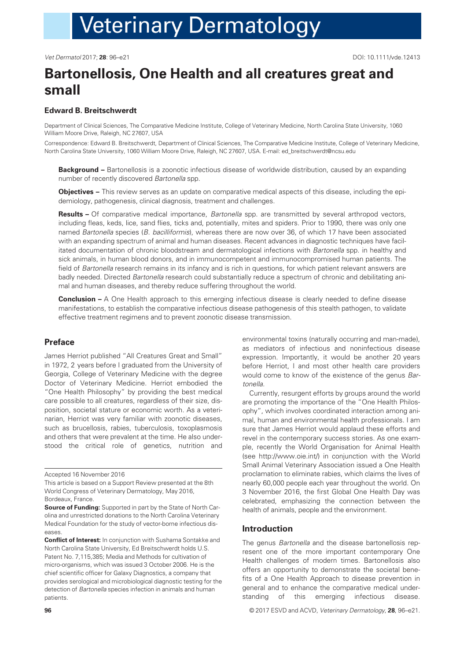# Bartonellosis, One Health and all creatures great and small

## Edward B. Breitschwerdt

Department of Clinical Sciences, The Comparative Medicine Institute, College of Veterinary Medicine, North Carolina State University, 1060 William Moore Drive, Raleigh, NC 27607, USA

Correspondence: Edward B. Breitschwerdt, Department of Clinical Sciences, The Comparative Medicine Institute, College of Veterinary Medicine, North Carolina State University, 1060 William Moore Drive, Raleigh, NC 27607, USA. E-mail: ed\_breitschwerdt@ncsu.edu

Background – Bartonellosis is a zoonotic infectious disease of worldwide distribution, caused by an expanding number of recently discovered Bartonella spp.

Objectives – This review serves as an update on comparative medical aspects of this disease, including the epidemiology, pathogenesis, clinical diagnosis, treatment and challenges.

Results - Of comparative medical importance, Bartonella spp. are transmitted by several arthropod vectors, including fleas, keds, lice, sand flies, ticks and, potentially, mites and spiders. Prior to 1990, there was only one named Bartonella species (B. bacilliformis), whereas there are now over 36, of which 17 have been associated with an expanding spectrum of animal and human diseases. Recent advances in diagnostic techniques have facilitated documentation of chronic bloodstream and dermatological infections with Bartonella spp. in healthy and sick animals, in human blood donors, and in immunocompetent and immunocompromised human patients. The field of Bartonella research remains in its infancy and is rich in questions, for which patient relevant answers are badly needed. Directed Bartonella research could substantially reduce a spectrum of chronic and debilitating animal and human diseases, and thereby reduce suffering throughout the world.

**Conclusion –** A One Health approach to this emerging infectious disease is clearly needed to define disease manifestations, to establish the comparative infectious disease pathogenesis of this stealth pathogen, to validate effective treatment regimens and to prevent zoonotic disease transmission.

# Preface

James Herriot published "All Creatures Great and Small" in 1972, 2 years before I graduated from the University of Georgia, College of Veterinary Medicine with the degree Doctor of Veterinary Medicine. Herriot embodied the "One Health Philosophy" by providing the best medical care possible to all creatures, regardless of their size, disposition, societal stature or economic worth. As a veterinarian, Herriot was very familiar with zoonotic diseases, such as brucellosis, rabies, tuberculosis, toxoplasmosis and others that were prevalent at the time. He also understood the critical role of genetics, nutrition and

Accepted 16 November 2016

This article is based on a Support Review presented at the 8th World Congress of Veterinary Dermatology, May 2016, Bordeaux, France.

Source of Funding: Supported in part by the State of North Carolina and unrestricted donations to the North Carolina Veterinary Medical Foundation for the study of vector-borne infectious diseases.

Conflict of Interest: In conjunction with Sushama Sontakke and North Carolina State University, Ed Breitschwerdt holds U.S. Patent No. 7,115,385; Media and Methods for cultivation of micro-organisms, which was issued 3 October 2006. He is the chief scientific officer for Galaxy Diagnostics, a company that provides serological and microbiological diagnostic testing for the detection of Bartonella species infection in animals and human patients.

environmental toxins (naturally occurring and man-made), as mediators of infectious and noninfectious disease expression. Importantly, it would be another 20 years before Herriot, I and most other health care providers would come to know of the existence of the genus Bartonella.

Currently, resurgent efforts by groups around the world are promoting the importance of the "One Health Philosophy", which involves coordinated interaction among animal, human and environmental health professionals. I am sure that James Herriot would applaud these efforts and revel in the contemporary success stories. As one example, recently the World Organisation for Animal Health (see http://www.oie.int/) in conjunction with the World Small Animal Veterinary Association issued a One Health proclamation to eliminate rabies, which claims the lives of nearly 60,000 people each year throughout the world. On 3 November 2016, the first Global One Health Day was celebrated, emphasizing the connection between the health of animals, people and the environment.

# Introduction

The genus Bartonella and the disease bartonellosis represent one of the more important contemporary One Health challenges of modern times. Bartonellosis also offers an opportunity to demonstrate the societal benefits of a One Health Approach to disease prevention in general and to enhance the comparative medical understanding of this emerging infectious disease.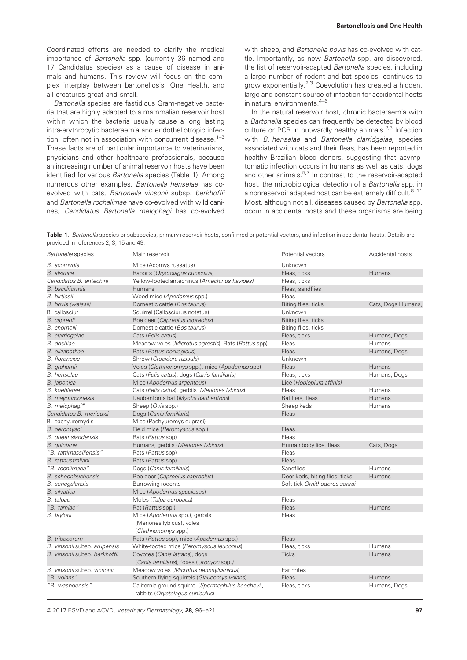Coordinated efforts are needed to clarify the medical importance of Bartonella spp. (currently 36 named and 17 Candidatus species) as a cause of disease in animals and humans. This review will focus on the complex interplay between bartonellosis, One Health, and all creatures great and small.

Bartonella species are fastidious Gram-negative bacteria that are highly adapted to a mammalian reservoir host within which the bacteria usually cause a long lasting intra-erythrocytic bacteraemia and endotheliotropic infection, often not in association with concurrent disease. $1-3$ These facts are of particular importance to veterinarians, physicians and other healthcare professionals, because an increasing number of animal reservoir hosts have been identified for various Bartonella species (Table 1). Among numerous other examples, Bartonella henselae has coevolved with cats, Bartonella vinsonii subsp. berkhoffii and Bartonella rochalimae have co-evolved with wild canines, Candidatus Bartonella melophagi has co-evolved with sheep, and *Bartonella bovis* has co-evolved with cattle. Importantly, as new Bartonella spp. are discovered, the list of reservoir-adapted Bartonella species, including a large number of rodent and bat species, continues to grow exponentially.2,3 Coevolution has created a hidden, large and constant source of infection for accidental hosts in natural environments.<sup>4-6</sup>

In the natural reservoir host, chronic bacteraemia with a Bartonella species can frequently be detected by blood culture or PCR in outwardly healthy animals.<sup>2,3</sup> Infection with B. henselae and Bartonella clarridgeiae, species associated with cats and their fleas, has been reported in healthy Brazilian blood donors, suggesting that asymptomatic infection occurs in humans as well as cats, dogs and other animals.<sup>5,7</sup> In contrast to the reservoir-adapted host, the microbiological detection of a Bartonella spp. in a nonreservoir adapted host can be extremely difficult.<sup>8-11</sup> Most, although not all, diseases caused by Bartonella spp. occur in accidental hosts and these organisms are being

Table 1. Bartonella species or subspecies, primary reservoir hosts, confirmed or potential vectors, and infection in accidental hosts. Details are provided in references 2, 3, 15 and 49.

| Bartonella species            | Main reservoir                                                                         | Potential vectors              | Accidental hosts   |
|-------------------------------|----------------------------------------------------------------------------------------|--------------------------------|--------------------|
| B. acomydis                   | Mice (Acomys russatus)                                                                 | Unknown                        |                    |
| B. alsatica                   | Rabbits (Oryctolagus cuniculus)                                                        | Fleas, ticks                   | Humans             |
| Candidatus B. antechini       | Yellow-footed antechinus (Antechinus flavipes)                                         | Fleas, ticks                   |                    |
| <b>B.</b> bacilliformis       | Humans                                                                                 | Fleas, sandflies               |                    |
| B. birtlesii                  | Wood mice (Apodemus spp.)                                                              | Fleas                          |                    |
| B. bovis (weissii)            | Domestic cattle (Bos taurus)                                                           | Biting flies, ticks            | Cats, Dogs Humans, |
| B. callosciuri                | Squirrel (Callosciurus notatus)                                                        | Unknown                        |                    |
| B. capreoli                   | Roe deer (Capreolus capreolus)                                                         | Biting flies, ticks            |                    |
| B. chomelii                   | Domestic cattle (Bos taurus)                                                           | Biting flies, ticks            |                    |
| <b>B.</b> clarridgeiae        | Cats (Felis catus)                                                                     | Fleas, ticks                   | Humans, Dogs       |
| B. doshiae                    | Meadow voles (Microtus agrestis), Rats (Rattus spp)                                    | Fleas                          | Humans             |
| B. elizabethae                | Rats (Rattus norvegicus)                                                               | Fleas                          | Humans, Dogs       |
| <b>B.</b> florenciae          | Shrew (Crocidura russula)                                                              | Unknown                        |                    |
| B. grahamii                   | Voles (Clethrionomys spp.), mice (Apodemus spp)                                        | Fleas                          | Humans             |
| B. henselae                   | Cats (Felis catus), dogs (Canis familiaris)                                            | Fleas, ticks                   | Humans, Dogs       |
| B. japonica                   | Mice (Apodemus argenteus)                                                              | Lice (Hoploplura affinis)      |                    |
| B. koehlerae                  | Cats (Felis catus), gerbils (Meriones lybicus)                                         | Fleas                          | Humans             |
| <b>B.</b> mayotimonesis       | Daubenton's bat (Myotis daubentonii)                                                   | Bat flies, fleas               | Humans             |
| B. melophagi*                 | Sheep (Ovis spp.)                                                                      | Sheep keds                     | Humans             |
| Candidatus B. merieuxii       | Dogs (Canis familiaris)                                                                | Fleas                          |                    |
| B. pachyuromydis              | Mice (Pachyuromys duprasi)                                                             |                                |                    |
| B. peromysci                  | Field mice (Peromyscus spp.)                                                           | Fleas                          |                    |
| B. queenslandensis            | Rats (Rattus spp)                                                                      | Fleas                          |                    |
| B. quintana                   | Humans, gerbils (Meriones lybicus)                                                     | Human body lice, fleas         | Cats, Dogs         |
| "B. rattimassiliensis"        | Rats (Rattus spp)                                                                      | Fleas                          |                    |
| B. rattaustraliani            | Rats (Rattus spp)                                                                      | Fleas                          |                    |
| "B. rochlimaea"               | Dogs (Canis familiaris)                                                                | Sandflies                      | Humans             |
| <b>B.</b> schoenbuchensis     | Roe deer (Capreolus capreolus)                                                         | Deer keds, biting flies, ticks | Humans             |
| B. senegalensis               | Burrowing rodents                                                                      | Soft tick Ornithodoros sonrai  |                    |
| <b>B.</b> silvatica           | Mice (Apodemus speciosus)                                                              |                                |                    |
| B. talpae                     | Moles (Talpa europaea)                                                                 | Fleas                          |                    |
| "B. tamiae"                   | Rat (Rattus spp.)                                                                      | Fleas                          | Humans             |
| B. taylorii                   | Mice (Apodemus spp.), gerbils                                                          | Fleas                          |                    |
|                               | (Meriones lybicus), voles                                                              |                                |                    |
|                               | (Clethrionomys spp.)                                                                   |                                |                    |
| B. tribocorum                 | Rats (Rattus spp), mice (Apodemus spp.)                                                | Fleas                          |                    |
| B. vinsonii subsp. arupensis  | White-footed mice (Peromyscus leucopus)                                                | Fleas, ticks                   | Humans             |
| B. vinsonii subsp. berkhoffii | Coyotes (Canis latrans), dogs<br>(Canis familiaris), foxes (Urocyon spp.)              | <b>Ticks</b>                   | Humans             |
| B. vinsonii subsp. vinsonii   | Meadow voles (Microtus pennsylvanicus)                                                 | Ear mites                      |                    |
| "B. volans"                   | Southern flying squirrels (Glaucomys volans)                                           | Fleas                          | Humans             |
| "B. washoensis"               | California ground squirrel (Spermophilus beecheyi),<br>rabbits (Oryctolagus cuniculus) | Fleas, ticks                   | Humans, Dogs       |

© 2017 ESVD and ACVD, Veterinary Dermatology, 28, 96–e21. 97 and 2017 ESVD and ACVD, Veterinary Dermatology, 28, 96–e21.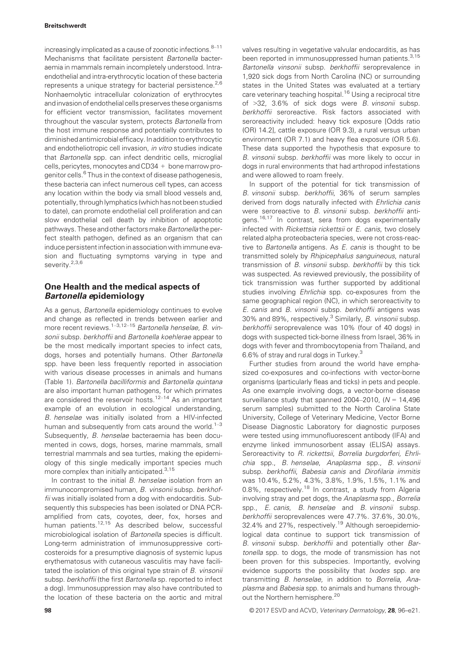increasingly implicated as a cause of zoonotic infections.  $8-11$ Mechanisms that facilitate persistent Bartonella bacteraemia in mammals remain incompletely understood. Intraendothelial and intra-erythrocytic location of these bacteria represents a unique strategy for bacterial persistence. $2.6$ Nonhaemolytic intracellular colonization of erythrocytes and invasion of endothelial cells preserves these organisms for efficient vector transmission, facilitates movement throughout the vascular system, protects Bartonella from the host immune response and potentially contributes to diminished antimicrobial efficacy.In addition to erythrocytic and endotheliotropic cell invasion, in vitro studies indicate that Bartonella spp. can infect dendritic cells, microglial cells, pericytes, monocytes and CD34 + bonemarrow progenitor cells.<sup>6</sup> Thus in the context of disease pathogenesis, these bacteria can infect numerous cell types, can access any location within the body via small blood vessels and, potentially, through lymphatics(which has not been studied to date), can promote endothelial cell proliferation and can slow endothelial cell death by inhibition of apoptotic pathways. These and other factors make Bartonella the perfect stealth pathogen, defined as an organism that can induce persistent infection in association with immune evasion and fluctuating symptoms varying in type and severity.2,3,6

# One Health and the medical aspects of Bartonella epidemiology

As a genus, Bartonella epidemiology continues to evolve and change as reflected in trends between earlier and more recent reviews.<sup>1–3,12–15</sup> Bartonella henselae, B. vinsonii subsp. berkhoffii and Bartonella koehlerae appear to be the most medically important species to infect cats, dogs, horses and potentially humans. Other Bartonella spp. have been less frequently reported in association with various disease processes in animals and humans (Table 1). Bartonella bacilliformis and Bartonella quintana are also important human pathogens, for which primates are considered the reservoir hosts.<sup>12–14</sup> As an important example of an evolution in ecological understanding, B. henselae was initially isolated from a HIV-infected human and subsequently from cats around the world. $1-3$ Subsequently, B. henselae bacteraemia has been documented in cows, dogs, horses, marine mammals, small terrestrial mammals and sea turtles, making the epidemiology of this single medically important species much more complex than initially anticipated.<sup>3,15</sup>

In contrast to the initial B. henselae isolation from an immunocompromised human, B. vinsonii subsp. berkhoffii was initially isolated from a dog with endocarditis. Subsequently this subspecies has been isolated or DNA PCRamplified from cats, coyotes, deer, fox, horses and human patients.12,15 As described below, successful microbiological isolation of Bartonella species is difficult. Long-term administration of immunosuppressive corticosteroids for a presumptive diagnosis of systemic lupus erythematosus with cutaneous vasculitis may have facilitated the isolation of this original type strain of B. vinsonii subsp. berkhoffii (the first Bartonella sp. reported to infect a dog). Immunosuppression may also have contributed to the location of these bacteria on the aortic and mitral

valves resulting in vegetative valvular endocarditis, as has been reported in immunosuppressed human patients.<sup>3,15</sup> Bartonella vinsonii subsp. berkhoffii seroprevalence in 1,920 sick dogs from North Carolina (NC) or surrounding states in the United States was evaluated at a tertiary care veterinary teaching hospital.<sup>16</sup> Using a reciprocal titre of >32, 3.6% of sick dogs were B. vinsonii subsp. berkhoffii seroreactive. Risk factors associated with seroreactivity included: heavy tick exposure [Odds ratio (OR) 14.2], cattle exposure (OR 9.3), a rural versus urban environment (OR 7.1) and heavy flea exposure (OR 5.6). These data supported the hypothesis that exposure to B. vinsonii subsp. berkhoffii was more likely to occur in dogs in rural environments that had arthropod infestations and were allowed to roam freely.

In support of the potential for tick transmission of B. vinsonii subsp. berkhoffii, 36% of serum samples derived from dogs naturally infected with Ehrlichia canis were seroreactive to B. vinsonii subsp. berkhoffii antigens.16,17 In contrast, sera from dogs experimentally infected with Rickettsia rickettsii or E. canis, two closely related alpha proteobacteria species, were not cross-reactive to Bartonella antigens. As E. canis is thought to be transmitted solely by Rhipicephalus sanguineous, natural transmission of B. vinsonii subsp. berkhoffii by this tick was suspected. As reviewed previously, the possibility of tick transmission was further supported by additional studies involving Ehrlichia spp. co-exposures from the same geographical region (NC), in which seroreactivity to E. canis and B. vinsonii subsp. berkhoffii antigens was 30% and 89%, respectively.<sup>3</sup> Similarly, B. vinsonii subsp. berkhoffii seroprevalence was 10% (four of 40 dogs) in dogs with suspected tick-borne illness from Israel, 36% in dogs with fever and thrombocytopenia from Thailand, and 6.6% of stray and rural dogs in Turkey.3

Further studies from around the world have emphasized co-exposures and co-infections with vector-borne organisms (particularly fleas and ticks) in pets and people. As one example involving dogs, a vector-borne disease surveillance study that spanned 2004–2010,  $(N = 14.496)$ serum samples) submitted to the North Carolina State University, College of Veterinary Medicine, Vector Borne Disease Diagnostic Laboratory for diagnostic purposes were tested using immunofluorescent antibody (IFA) and enzyme linked immunosorbent assay (ELISA) assays. Seroreactivity to R. rickettsii, Borrelia burgdorferi, Ehrlichia spp., B. henselae, Anaplasma spp., B. vinsonii subsp. berkhoffii, Babesia canis and Dirofilaria immitis was 10.4%, 5.2%, 4.3%, 3.8%, 1.9%, 1.5%, 1.1% and 0.8%, respectively.<sup>18</sup> In contrast, a study from Algeria involving stray and pet dogs, the Anaplasma spp., Borrelia spp., E. canis, B. henselae and B. vinsonii subsp. berkhoffii seroprevalences were 47.7%. 37.6%, 30.0%, 32.4% and 27%, respectively.<sup>19</sup> Although seroepidemiological data continue to support tick transmission of B. vinsonii subsp. berkhoffii and potentially other Bartonella spp. to dogs, the mode of transmission has not been proven for this subspecies. Importantly, evolving evidence supports the possibility that *Ixodes* spp. are transmitting B. henselae, in addition to Borrelia, Anaplasma and Babesia spp. to animals and humans throughout the Northern hemisphere.<sup>20</sup>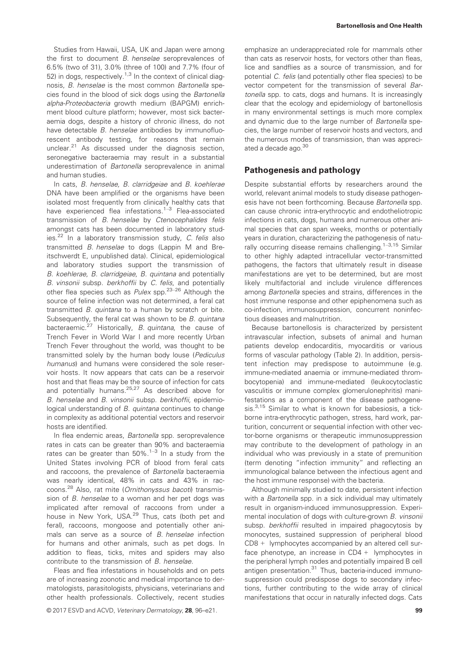Studies from Hawaii, USA, UK and Japan were among the first to document B. henselae seroprevalences of 6.5% (two of 31), 3.0% (three of 100) and 7.7% (four of 52) in dogs, respectively.<sup>1,3</sup> In the context of clinical diagnosis, B. henselae is the most common Bartonella species found in the blood of sick dogs using the Bartonella alpha-Proteobacteria growth medium (BAPGM) enrichment blood culture platform; however, most sick bacteraemia dogs, despite a history of chronic illness, do not have detectable B. henselae antibodies by immunofluorescent antibody testing, for reasons that remain unclear. $21$  As discussed under the diagnosis section, seronegative bacteraemia may result in a substantial underestimation of Bartonella seroprevalence in animal and human studies.

In cats, B. henselae, B. clarridgeiae and B. koehlerae DNA have been amplified or the organisms have been isolated most frequently from clinically healthy cats that have experienced flea infestations.<sup>1–3</sup> Flea-associated transmission of B. henselae by Ctenocephalides felis amongst cats has been documented in laboratory studies.22 In a laboratory transmission study, C. felis also transmitted B. henselae to dogs (Lappin M and Breitschwerdt E, unpublished data). Clinical, epidemiological and laboratory studies support the transmission of B. koehlerae, B. clarridgeiae, B. quintana and potentially B. vinsonii subsp. berkhoffii by C. felis, and potentially other flea species such as Pulex spp.23–<sup>26</sup> Although the source of feline infection was not determined, a feral cat transmitted B. quintana to a human by scratch or bite. Subsequently, the feral cat was shown to be B. quintana bacteraemic.<sup>27</sup> Historically, B. quintana, the cause of Trench Fever in World War I and more recently Urban Trench Fever throughout the world, was thought to be transmitted solely by the human body louse (Pediculus humanus) and humans were considered the sole reservoir hosts. It now appears that cats can be a reservoir host and that fleas may be the source of infection for cats and potentially humans.<sup>25,27</sup> As described above for B. henselae and B. vinsonii subsp. berkhoffii, epidemiological understanding of B. quintana continues to change in complexity as additional potential vectors and reservoir hosts are identified.

In flea endemic areas, Bartonella spp. seroprevalence rates in cats can be greater than 90% and bacteraemia rates can be greater than  $50\%$ .<sup>1-3</sup> In a study from the United States involving PCR of blood from feral cats and raccoons, the prevalence of Bartonella bacteraemia was nearly identical, 48% in cats and 43% in raccoons.<sup>28</sup> Also, rat mite (Ornithonyssus bacoti) transmission of B. henselae to a woman and her pet dogs was implicated after removal of raccoons from under a house in New York, USA.<sup>29</sup> Thus, cats (both pet and feral), raccoons, mongoose and potentially other animals can serve as a source of B. henselae infection for humans and other animals, such as pet dogs. In addition to fleas, ticks, mites and spiders may also contribute to the transmission of B. henselae.

Fleas and flea infestations in households and on pets are of increasing zoonotic and medical importance to dermatologists, parasitologists, physicians, veterinarians and other health professionals. Collectively, recent studies

© 2017 ESVD and ACVD, Veterinary Dermatology, 28, 96–e21. 99

emphasize an underappreciated role for mammals other than cats as reservoir hosts, for vectors other than fleas, lice and sandflies as a source of transmission, and for potential C. felis (and potentially other flea species) to be vector competent for the transmission of several Bartonella spp. to cats, dogs and humans. It is increasingly clear that the ecology and epidemiology of bartonellosis in many environmental settings is much more complex and dynamic due to the large number of Bartonella species, the large number of reservoir hosts and vectors, and the numerous modes of transmission, than was appreciated a decade ago.<sup>30</sup>

## Pathogenesis and pathology

Despite substantial efforts by researchers around the world, relevant animal models to study disease pathogenesis have not been forthcoming. Because Bartonella spp. can cause chronic intra-erythrocytic and endotheliotropic infections in cats, dogs, humans and numerous other animal species that can span weeks, months or potentially years in duration, characterizing the pathogenesis of naturally occurring disease remains challenging.<sup>1-3,15</sup> Similar to other highly adapted intracellular vector-transmitted pathogens, the factors that ultimately result in disease manifestations are yet to be determined, but are most likely multifactorial and include virulence differences among Bartonella species and strains, differences in the host immune response and other epiphenomena such as co-infection, immunosuppression, concurrent noninfectious diseases and malnutrition.

Because bartonellosis is characterized by persistent intravascular infection, subsets of animal and human patients develop endocarditis, myocarditis or various forms of vascular pathology (Table 2). In addition, persistent infection may predispose to autoimmune (e.g. immune-mediated anaemia or immune-mediated thrombocytopenia) and immune-mediated (leukocytoclastic vasculitis or immune complex glomerulonephritis) manifestations as a component of the disease pathogenesis.3,15 Similar to what is known for babesiosis, a tickborne intra-erythrocytic pathogen, stress, hard work, parturition, concurrent or sequential infection with other vector-borne organisms or therapeutic immunosuppression may contribute to the development of pathology in an individual who was previously in a state of premunition (term denoting "infection immunity" and reflecting an immunological balance between the infectious agent and the host immune response) with the bacteria.

Although minimally studied to date, persistent infection with a Bartonella spp. in a sick individual may ultimately result in organism-induced immunosuppression. Experimental inoculation of dogs with culture-grown B. vinsonii subsp. berkhoffii resulted in impaired phagocytosis by monocytes, sustained suppression of peripheral blood CD8 + lymphocytes accompanied by an altered cell surface phenotype, an increase in  $CD4 +$  lymphocytes in the peripheral lymph nodes and potentially impaired B cell antigen presentation.<sup>31</sup> Thus, bacteria-induced immunosuppression could predispose dogs to secondary infections, further contributing to the wide array of clinical manifestations that occur in naturally infected dogs. Cats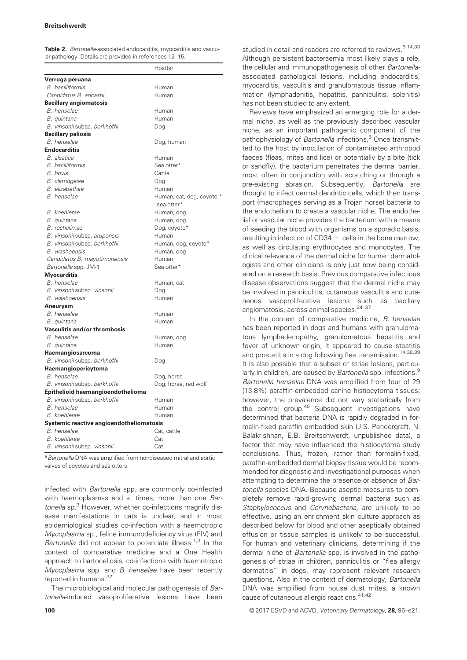| <b>Table 2.</b> Bartonella-associated endocarditis, myocarditis and vascu- |  |  |
|----------------------------------------------------------------------------|--|--|
| lar pathology. Details are provided in references 12-15.                   |  |  |

|                                          | Host(s)                   |
|------------------------------------------|---------------------------|
| Verruga peruana                          |                           |
| <b>B.</b> bacilliformis                  | Human                     |
| Candidatus B. ancashi                    | Human                     |
| <b>Bacillary angiomatosis</b>            |                           |
| B. henselae                              | Human                     |
| B. quintana                              | Human                     |
| B. vinsonii subsp. berkhoffii            | Dog                       |
| <b>Bacillary peliosis</b>                |                           |
| B. henselae                              | Dog, human                |
| <b>Endocarditis</b>                      |                           |
| B. alsatica                              | Human                     |
| <b>B.</b> bacilliformis                  | Sea otter*                |
| B. bovis                                 | Cattle                    |
| B. clarridgeiae                          | Dog                       |
| B. elizabethae                           | Human                     |
| B. henselae                              | Human, cat, dog, coyote,* |
|                                          | sea otter*                |
| B. koehlerae                             | Human, dog                |
| B. quintana                              | Human, dog                |
| B. rochalimae                            | Dog, coyote*              |
| B. vinsonii subsp. arupensis             | Human                     |
| B. vinsonii subsp. berkhoffii            | Human, dog, coyote*       |
| B. washoensis                            | Human, dog                |
| Candidatus B. mayotimonensis             | Human                     |
| Bartonella spp. JM-1                     | Sea otter*                |
| <b>Myocarditis</b>                       |                           |
| B. henselae                              | Human, cat                |
| B. vinsonii subsp. vinsonii              | Dog                       |
| B. washoensis                            | Human                     |
| Aneurysm                                 |                           |
| B. henselae                              | Human                     |
| B. quintana                              | Human                     |
| Vasculitis and/or thrombosis             |                           |
| B. henselae                              | Human, dog                |
| B. quintana                              | Human                     |
| Haemangiosarcoma                         |                           |
| B. vinsonii subsp. berkhoffii            | Dog                       |
| Haemangiopericytoma                      |                           |
| B. henselae                              | Dog, horse                |
| B. vinsonii subsp. berkhoffii            | Dog, horse, red wolf      |
| Epithelioid haemangioendothelioma        |                           |
| B. vinsonii subsp. berkhoffii            | Human                     |
| B. henselae                              | Human                     |
| B. koehlerae                             | Human                     |
| Systemic reactive angioendotheliomatosis |                           |
| B. henselae                              | Cat, cattle               |
| B. koehlerae                             | Cat                       |
| B. vinsonii subsp. vinsonii              | Cat                       |
|                                          |                           |

\*Bartonella DNA was amplified from nondiseased mitral and aortic valves of coyotes and sea otters.

infected with Bartonella spp. are commonly co-infected with haemoplasmas and at times, more than one Bartonella sp.<sup>3</sup> However, whether co-infections magnify disease manifestations in cats is unclear, and in most epidemiological studies co-infection with a haemotropic Mycoplasma sp., feline immunodeficiency virus (FIV) and Bartonella did not appear to potentiate illness.<sup>1,3</sup> In the context of comparative medicine and a One Health approach to bartonellosis, co-infections with haemotropic Mycoplasma spp. and B. henselae have been recently reported in humans.<sup>32</sup>

The microbiological and molecular pathogenesis of Bartonella-induced vasoproliferative lesions have been

studied in detail and readers are referred to reviews.<sup>6,14,33</sup> Although persistent bacteraemia most likely plays a role, the cellular and immunopathogenesis of other Bartonellaassociated pathological lesions, including endocarditis, myocarditis, vasculitis and granulomatous tissue inflammation (lymphadenitis, hepatitis, panniculitis, splenitis) has not been studied to any extent.

Reviews have emphasized an emerging role for a dermal niche, as well as the previously described vascular niche, as an important pathogenic component of the pathophysiology of Bartonella infections.<sup>6</sup> Once transmitted to the host by inoculation of contaminated arthropod faeces (fleas, mites and lice) or potentially by a bite (tick or sandfly), the bacterium penetrates the dermal barrier, most often in conjunction with scratching or through a pre-existing abrasion. Subsequently, Bartonella are thought to infect dermal dendritic cells, which then transport (macrophages serving as a Trojan horse) bacteria to the endothelium to create a vascular niche. The endothelial or vascular niche provides the bacterium with a means of seeding the blood with organisms on a sporadic basis, resulting in infection of  $CD34 +$  cells in the bone marrow. as well as circulating erythrocytes and monocytes. The clinical relevance of the dermal niche for human dermatologists and other clinicians is only just now being considered on a research basis. Previous comparative infectious disease observations suggest that the dermal niche may be involved in panniculitis, cutaneous vasculitis and cutaneous vasoproliferative lesions such as bacillary angiomatosis, across animal species.34–<sup>37</sup>

In the context of comparative medicine, B. henselae has been reported in dogs and humans with granulomatous lymphadenopathy, granulomatous hepatitis and fever of unknown origin; it appeared to cause steatitis and prostatitis in a dog following flea transmission.<sup>14,38,39</sup> It is also possible that a subset of striae lesions, particularly in children, are caused by Bartonella spp. infections.<sup>9</sup> Bartonella henselae DNA was amplified from four of 29 (13.8%) paraffin-embedded canine histiocytoma tissues; however, the prevalence did not vary statistically from the control group.40 Subsequent investigations have determined that bacteria DNA is rapidly degraded in formalin-fixed paraffin embedded skin (J.S. Pendergraft, N. Balakrishnan, E.B. Breitschwerdt, unpublished data), a factor that may have influenced the histiocytoma study conclusions. Thus, frozen, rather than formalin-fixed, paraffin-embedded dermal biopsy tissue would be recommended for diagnostic and investigational purposes when attempting to determine the presence or absence of Bartonella species DNA. Because aseptic measures to completely remove rapid-growing dermal bacteria such as Staphylococcus and Corynebacteria, are unlikely to be effective, using an enrichment skin culture approach as described below for blood and other aseptically obtained effusion or tissue samples is unlikely to be successful. For human and veterinary clinicians, determining if the dermal niche of Bartonella spp. is involved in the pathogenesis of striae in children, panniculitis or "flea allergy dermatitis" in dogs, may represent relevant research questions. Also in the context of dermatology, Bartonella DNA was amplified from house dust mites, a known cause of cutaneous allergic reactions.41,42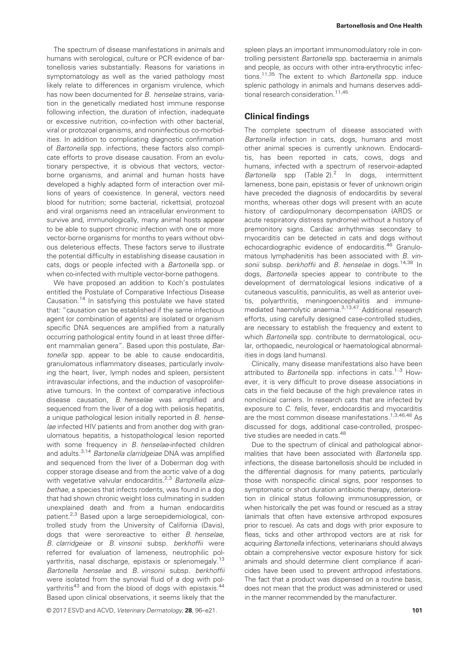The spectrum of disease manifestations in animals and humans with serological, culture or PCR evidence of bartonellosis varies substantially. Reasons for variations in symptomatology as well as the varied pathology most likely relate to differences in organism virulence, which has now been documented for B. henselae strains, variation in the genetically mediated host immune response following infection, the duration of infection, inadequate or excessive nutrition, co-infection with other bacterial, viral or protozoal organisms, and noninfectious co-morbidities. In addition to complicating diagnostic confirmation of Bartonella spp. infections, these factors also complicate efforts to prove disease causation. From an evolutionary perspective, it is obvious that vectors, vectorborne organisms, and animal and human hosts have developed a highly adapted form of interaction over millions of years of coexistence. In general, vectors need blood for nutrition; some bacterial, rickettsial, protozoal and viral organisms need an intracellular environment to survive and, immunologically, many animal hosts appear to be able to support chronic infection with one or more vector-borne organisms for months to years without obvious deleterious effects. These factors serve to illustrate the potential difficulty in establishing disease causation in cats, dogs or people infected with a Bartonella spp. or when co-infected with multiple vector-borne pathogens.

We have proposed an addition to Koch's postulates entitled the Postulate of Comparative Infectious Disease Causation.14 In satisfying this postulate we have stated that: "causation can be established if the same infectious agent (or combination of agents) are isolated or organism specific DNA sequences are amplified from a naturally occurring pathological entity found in at least three different mammalian genera". Based upon this postulate, Bartonella spp. appear to be able to cause endocarditis, granulomatous inflammatory diseases, particularly involving the heart, liver, lymph nodes and spleen, persistent intravascular infections, and the induction of vasoproliferative tumours. In the context of comparative infectious disease causation, B. henselae was amplified and sequenced from the liver of a dog with peliosis hepatitis, a unique pathological lesion initially reported in B. henselae infected HIV patients and from another dog with granulomatous hepatitis, a histopathological lesion reported with some frequency in B. henselae-infected children and adults.<sup>3,14</sup> Bartonella clarridgeiae DNA was amplified and sequenced from the liver of a Doberman dog with copper storage disease and from the aortic valve of a dog with vegetative valvular endocarditis.<sup>2,3</sup> Bartonella elizabethae, a species that infects rodents, was found in a dog that had shown chronic weight loss culminating in sudden unexplained death and from a human endocarditis patient.<sup>2,3</sup> Based upon a large seroepidemiological, controlled study from the University of California (Davis), dogs that were seroreactive to either B. henselae, B. clarridgeiae or B. vinsonii subsp. berkhoffii were referred for evaluation of lameness, neutrophilic polyarthritis, nasal discharge, epistaxis or splenomegaly.<sup>13</sup> Bartonella henselae and B. vinsonii subsp. berkhoffii were isolated from the synovial fluid of a dog with polyarthritis<sup>43</sup> and from the blood of dogs with epistaxis.<sup>44</sup> Based upon clinical observations, it seems likely that the

© 2017 ESVD and ACVD, Veterinary Dermatology, 28, 96–e21. 101

spleen plays an important immunomodulatory role in controlling persistent Bartonella spp. bacteraemia in animals and people, as occurs with other intra-erythrocytic infections.<sup>11,35</sup> The extent to which Bartonella spp. induce splenic pathology in animals and humans deserves additional research consideration.<sup>11,45</sup>

# Clinical findings

The complete spectrum of disease associated with Bartonella infection in cats, dogs, humans and most other animal species is currently unknown. Endocarditis, has been reported in cats, cows, dogs and humans, infected with a spectrum of reservoir-adapted Bartonella spp  $(Table 2)<sup>2</sup>$  In dogs, intermittent lameness, bone pain, epistasis or fever of unknown origin have preceded the diagnosis of endocarditis by several months, whereas other dogs will present with an acute history of cardiopulmonary decompensation (ARDS or acute respiratory distress syndrome) without a history of premonitory signs. Cardiac arrhythmias secondary to myocarditis can be detected in cats and dogs without echocardiographic evidence of endocarditis.<sup>46</sup> Granulomatous lymphadenitis has been associated with B. vinsonii subsp. berkhoffii and B. henselae in dogs.<sup>14,38</sup> In dogs, Bartonella species appear to contribute to the development of dermatological lesions indicative of a cutaneous vasculitis, panniculitis, as well as anterior uveitis, polyarthritis, meningoencephalitis and immunemediated haemolytic anaemia.<sup>3,13,47</sup> Additional research efforts, using carefully designed case-controlled studies, are necessary to establish the frequency and extent to which Bartonella spp. contribute to dermatological, ocular, orthopaedic, neurological or haematological abnormalities in dogs (and humans).

Clinically, many disease manifestations also have been attributed to *Bartonella* spp. infections in cats.<sup>1-3</sup> However, it is very difficult to prove disease associations in cats in the field because of the high prevalence rates in nonclinical carriers. In research cats that are infected by exposure to C. felis, fever, endocarditis and myocarditis are the most common disease manifestations.<sup>1,3,46,48</sup> As discussed for dogs, additional case-controlled, prospective studies are needed in cats.<sup>48</sup>

Due to the spectrum of clinical and pathological abnormalities that have been associated with Bartonella spp. infections, the disease bartonellosis should be included in the differential diagnosis for many patients, particularly those with nonspecific clinical signs, poor responses to symptomatic or short duration antibiotic therapy, deterioration in clinical status following immunosuppression, or when historically the pet was found or rescued as a stray (animals that often have extensive arthropod exposures prior to rescue). As cats and dogs with prior exposure to fleas, ticks and other arthropod vectors are at risk for acquiring Bartonella infections, veterinarians should always obtain a comprehensive vector exposure history for sick animals and should determine client compliance if acaricides have been used to prevent arthropod infestations. The fact that a product was dispensed on a routine basis, does not mean that the product was administered or used in the manner recommended by the manufacturer.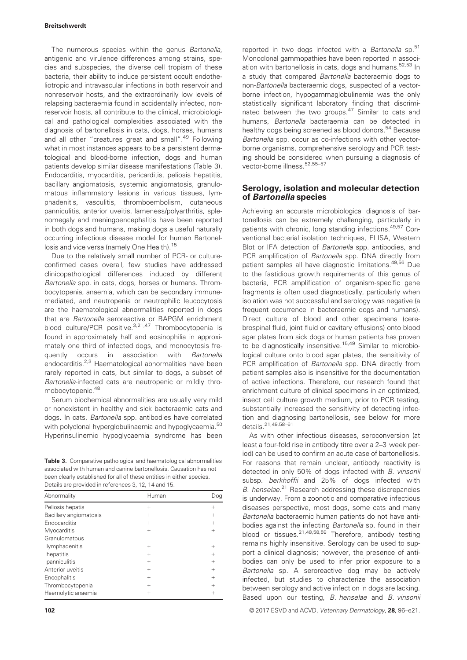The numerous species within the genus Bartonella, antigenic and virulence differences among strains, species and subspecies, the diverse cell tropism of these bacteria, their ability to induce persistent occult endotheliotropic and intravascular infections in both reservoir and nonreservoir hosts, and the extraordinarily low levels of relapsing bacteraemia found in accidentally infected, nonreservoir hosts, all contribute to the clinical, microbiological and pathological complexities associated with the diagnosis of bartonellosis in cats, dogs, horses, humans and all other "creatures great and small".<sup>49</sup> Following what in most instances appears to be a persistent dermatological and blood-borne infection, dogs and human patients develop similar disease manifestations (Table 3). Endocarditis, myocarditis, pericarditis, peliosis hepatitis, bacillary angiomatosis, systemic angiomatosis, granulomatous inflammatory lesions in various tissues, lymphadenitis, vasculitis, thromboembolism, cutaneous panniculitis, anterior uveitis, lameness/polyarthritis, splenomegaly and meningoencephalitis have been reported in both dogs and humans, making dogs a useful naturally occurring infectious disease model for human Bartonellosis and vice versa (namely One Health).<sup>15</sup>

Due to the relatively small number of PCR- or cultureconfirmed cases overall, few studies have addressed clinicopathological differences induced by different Bartonella spp. in cats, dogs, horses or humans. Thrombocytopenia, anaemia, which can be secondary immunemediated, and neutropenia or neutrophilic leucocytosis are the haematological abnormalities reported in dogs that are Bartonella seroreactive or BAPGM enrichment blood culture/PCR positive.<sup>3,21,47</sup> Thrombocytopenia is found in approximately half and eosinophilia in approximately one third of infected dogs, and monocytosis frequently occurs in association with Bartonella endocarditis.<sup>2,3</sup> Haematological abnormalities have been rarely reported in cats, but similar to dogs, a subset of Bartonella-infected cats are neutropenic or mildly thromobocytopenic.<sup>48</sup>

Serum biochemical abnormalities are usually very mild or nonexistent in healthy and sick bacteraemic cats and dogs. In cats, Bartonella spp. antibodies have correlated with polyclonal hyperglobulinaemia and hypoglycaemia.<sup>50</sup> Hyperinsulinemic hypoglycaemia syndrome has been

Table 3. Comparative pathological and haematological abnormalities associated with human and canine bartonellosis. Causation has not been clearly established for all of these entities in either species. Details are provided in references 3, 12, 14 and 15.

| Abnormality            | Human  | Dog       |
|------------------------|--------|-----------|
| Peliosis hepatis       | $^{+}$ | $^{+}$    |
| Bacillary angiomatosis | $^{+}$ | $^{+}$    |
| Endocarditis           | $^{+}$ | $^{+}$    |
| Myocarditis            | $^{+}$ | $^{+}$    |
| Granulomatous          |        |           |
| lymphadenitis          | $^{+}$ | $^{+}$    |
| hepatitis              | $+$    | $^{+}$    |
| panniculitis           | $^{+}$ | $^{+}$    |
| Anterior uveitis       | $^{+}$ | $^{+}$    |
| Encephalitis           | $^{+}$ | $^{+}$    |
| Thrombocytopenia       | $^{+}$ | $^{+}$    |
| Haemolytic anaemia     | $^{+}$ | $\ddot{}$ |
|                        |        |           |

reported in two dogs infected with a Bartonella sp.<sup>51</sup> Monoclonal gammopathies have been reported in association with bartonellosis in cats, dogs and humans.<sup>52,53</sup> In a study that compared Bartonella bacteraemic dogs to non-Bartonella bacteraemic dogs, suspected of a vectorborne infection, hypogammaglobulinemia was the only statistically significant laboratory finding that discriminated between the two groups.<sup>47</sup> Similar to cats and humans, Bartonella bacteraemia can be detected in healthy dogs being screened as blood donors.<sup>54</sup> Because Bartonella spp. occur as co-infections with other vectorborne organisms, comprehensive serology and PCR testing should be considered when pursuing a diagnosis of vector-borne illness.<sup>52,55–57</sup>

# Serology, isolation and molecular detection of Bartonella species

Achieving an accurate microbiological diagnosis of bartonellosis can be extremely challenging, particularly in patients with chronic, long standing infections.<sup>49,57</sup> Conventional bacterial isolation techniques, ELISA, Western Blot or IFA detection of Bartonella spp. antibodies, and PCR amplification of *Bartonella* spp. DNA directly from patient samples all have diagnostic limitations.<sup>49,56</sup> Due to the fastidious growth requirements of this genus of bacteria, PCR amplification of organism-specific gene fragments is often used diagnostically, particularly when isolation was not successful and serology was negative (a frequent occurrence in bacteraemic dogs and humans). Direct culture of blood and other specimens (cerebrospinal fluid, joint fluid or cavitary effusions) onto blood agar plates from sick dogs or human patients has proven to be diagnostically insensitive.<sup>15,49</sup> Similar to microbiological culture onto blood agar plates, the sensitivity of PCR amplification of Bartonella spp. DNA directly from patient samples also is insensitive for the documentation of active infections. Therefore, our research found that enrichment culture of clinical specimens in an optimized, insect cell culture growth medium, prior to PCR testing, substantially increased the sensitivity of detecting infection and diagnosing bartonellosis, see below for more details.21,49,58–<sup>61</sup>

As with other infectious diseases, seroconversion (at least a four-fold rise in antibody titre over a 2–3 week period) can be used to confirm an acute case of bartonellosis. For reasons that remain unclear, antibody reactivity is detected in only 50% of dogs infected with B. vinsonii subsp. berkhoffii and 25% of dogs infected with B. henselae.<sup>21</sup> Research addressing these discrepancies is underway. From a zoonotic and comparative infectious diseases perspective, most dogs, some cats and many Bartonella bacteraemic human patients do not have antibodies against the infecting Bartonella sp. found in their blood or tissues.<sup>21,48,58,59</sup> Therefore, antibody testing remains highly insensitive. Serology can be used to support a clinical diagnosis; however, the presence of antibodies can only be used to infer prior exposure to a Bartonella sp. A seroreactive dog may be actively infected, but studies to characterize the association between serology and active infection in dogs are lacking. Based upon our testing, B. henselae and B. vinsonii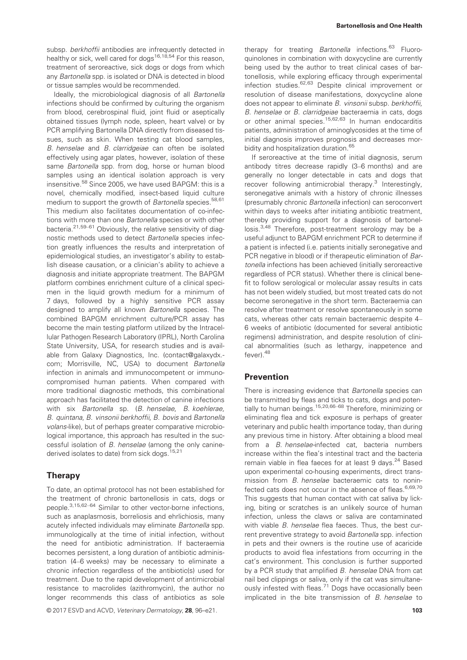subsp. berkhoffii antibodies are infrequently detected in healthy or sick, well cared for dogs<sup>16,18,54</sup> For this reason, treatment of seroreactive, sick dogs or dogs from which any Bartonella spp. is isolated or DNA is detected in blood or tissue samples would be recommended.

Ideally, the microbiological diagnosis of all Bartonella infections should be confirmed by culturing the organism from blood, cerebrospinal fluid, joint fluid or aseptically obtained tissues (lymph node, spleen, heart valve) or by PCR amplifying Bartonella DNA directly from diseased tissues, such as skin. When testing cat blood samples, B. henselae and B. clarridgeiae can often be isolated effectively using agar plates, however, isolation of these same Bartonella spp. from dog, horse or human blood samples using an identical isolation approach is very insensitive.<sup>58</sup> Since 2005, we have used BAPGM: this is a novel, chemically modified, insect-based liquid culture medium to support the growth of Bartonella species.<sup>58,61</sup> This medium also facilitates documentation of co-infections with more than one Bartonella species or with other bacteria.<sup>21,59–61</sup> Obviously, the relative sensitivity of diagnostic methods used to detect Bartonella species infection greatly influences the results and interpretation of epidemiological studies, an investigator's ability to establish disease causation, or a clinician's ability to achieve a diagnosis and initiate appropriate treatment. The BAPGM platform combines enrichment culture of a clinical specimen in the liquid growth medium for a minimum of 7 days, followed by a highly sensitive PCR assay designed to amplify all known Bartonella species. The combined BAPGM enrichment culture/PCR assay has become the main testing platform utilized by the Intracellular Pathogen Research Laboratory (IPRL), North Carolina State University, USA, for research studies and is available from Galaxy Diagnostics, Inc. (contact@galaxydx. com; Morrisville, NC, USA) to document Bartonella infection in animals and immunocompetent or immunocompromised human patients. When compared with more traditional diagnostic methods, this combinational approach has facilitated the detection of canine infections with six Bartonella sp. (B. henselae, B. koehlerae, B. quintana, B. vinsonii berkhoffii, B. bovis and Bartonella volans-like), but of perhaps greater comparative microbiological importance, this approach has resulted in the successful isolation of B. henselae (among the only caninederived isolates to date) from sick dogs.<sup>15,21</sup>

# Therapy

To date, an optimal protocol has not been established for the treatment of chronic bartonellosis in cats, dogs or people.3,15,62–<sup>64</sup> Similar to other vector-borne infections, such as anaplasmosis, borreliosis and ehrlichiosis, many acutely infected individuals may eliminate Bartonella spp. immunologically at the time of initial infection, without the need for antibiotic administration. If bacteraemia becomes persistent, a long duration of antibiotic administration (4–6 weeks) may be necessary to eliminate a chronic infection regardless of the antibiotic(s) used for treatment. Due to the rapid development of antimicrobial resistance to macrolides (azithromycin), the author no longer recommends this class of antibiotics as sole

© 2017 ESVD and ACVD, Veterinary Dermatology, 28, 96–e21. 103

therapy for treating *Bartonella* infections.<sup>63</sup> Fluoroquinolones in combination with doxycycline are currently being used by the author to treat clinical cases of bartonellosis, while exploring efficacy through experimental infection studies.62,63 Despite clinical improvement or resolution of disease manifestations, doxycycline alone does not appear to eliminate B. vinsonii subsp. berkhoffii, B. henselae or B. clarridgeiae bacteraemia in cats, dogs or other animal species.15,62,63 In human endocarditis patients, administration of aminoglycosides at the time of initial diagnosis improves prognosis and decreases morbidity and hospitalization duration.<sup>65</sup>

If seroreactive at the time of initial diagnosis, serum antibody titres decrease rapidly (3–6 months) and are generally no longer detectable in cats and dogs that recover following antimicrobial therapy.<sup>3</sup> Interestingly, seronegative animals with a history of chronic illnesses (presumably chronic Bartonella infection) can seroconvert within days to weeks after initiating antibiotic treatment. thereby providing support for a diagnosis of bartonellosis.3,48 Therefore, post-treatment serology may be a useful adjunct to BAPGM enrichment PCR to determine if a patient is infected (i.e. patients initially seronegative and PCR negative in blood) or if therapeutic elimination of Bartonella infections has been achieved (initially seroreactive regardless of PCR status). Whether there is clinical benefit to follow serological or molecular assay results in cats has not been widely studied, but most treated cats do not become seronegative in the short term. Bacteraemia can resolve after treatment or resolve spontaneously in some cats, whereas other cats remain bacteraemic despite 4– 6 weeks of antibiotic (documented for several antibiotic regimens) administration, and despite resolution of clinical abnormalities (such as lethargy, inappetence and fever).<sup>48</sup>

# Prevention

There is increasing evidence that Bartonella species can be transmitted by fleas and ticks to cats, dogs and potentially to human beings.15,20,66–<sup>68</sup> Therefore, minimizing or eliminating flea and tick exposure is perhaps of greater veterinary and public health importance today, than during any previous time in history. After obtaining a blood meal from a B. henselae-infected cat, bacteria numbers increase within the flea's intestinal tract and the bacteria remain viable in flea faeces for at least 9 days.<sup>24</sup> Based upon experimental co-housing experiments, direct transmission from B. henselae bacteraemic cats to noninfected cats does not occur in the absence of fleas.<sup>6,69,70</sup> This suggests that human contact with cat saliva by licking, biting or scratches is an unlikely source of human infection, unless the claws or saliva are contaminated with viable B. henselae flea faeces. Thus, the best current preventive strategy to avoid Bartonella spp. infection in pets and their owners is the routine use of acaricide products to avoid flea infestations from occurring in the cat's environment. This conclusion is further supported by a PCR study that amplified B. henselae DNA from cat nail bed clippings or saliva, only if the cat was simultaneously infested with fleas.<sup>71</sup> Dogs have occasionally been implicated in the bite transmission of B. henselae to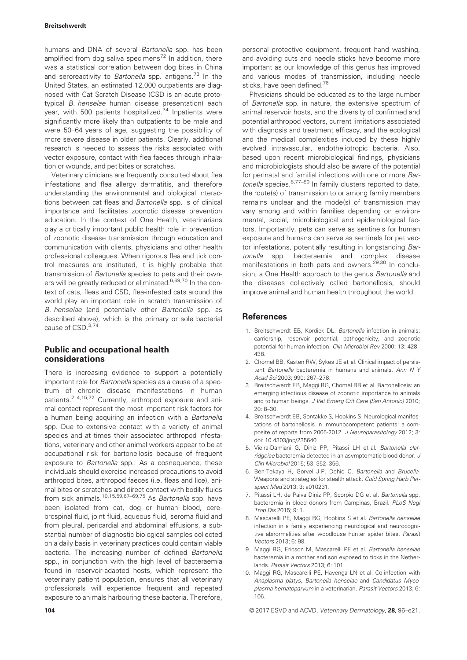humans and DNA of several *Bartonella* spp. has been amplified from dog saliva specimens<sup>72</sup> In addition, there was a statistical correlation between dog bites in China and seroreactivity to Bartonella spp. antigens.<sup>73</sup> In the United States, an estimated 12,000 outpatients are diagnosed with Cat Scratch Disease (CSD is an acute prototypical B. henselae human disease presentation) each year, with 500 patients hospitalized.<sup>74</sup> Inpatients were significantly more likely than outpatients to be male and were 50–64 years of age, suggesting the possibility of more severe disease in older patients. Clearly, additional research is needed to assess the risks associated with vector exposure, contact with flea faeces through inhalation or wounds, and pet bites or scratches.

Veterinary clinicians are frequently consulted about flea infestations and flea allergy dermatitis, and therefore understanding the environmental and biological interactions between cat fleas and Bartonella spp. is of clinical importance and facilitates zoonotic disease prevention education. In the context of One Health, veterinarians play a critically important public health role in prevention of zoonotic disease transmission through education and communication with clients, physicians and other health professional colleagues. When rigorous flea and tick control measures are instituted, it is highly probable that transmission of Bartonella species to pets and their owners will be greatly reduced or eliminated.<sup>6,69,70</sup> In the context of cats, fleas and CSD, flea-infested cats around the world play an important role in scratch transmission of B. henselae (and potentially other Bartonella spp. as described above), which is the primary or sole bacterial cause of CSD.<sup>3,74</sup>

## Public and occupational health considerations

There is increasing evidence to support a potentially important role for Bartonella species as a cause of a spectrum of chronic disease manifestations in human patients.2–4,15,72 Currently, arthropod exposure and animal contact represent the most important risk factors for a human being acquiring an infection with a Bartonella spp. Due to extensive contact with a variety of animal species and at times their associated arthropod infestations, veterinary and other animal workers appear to be at occupational risk for bartonellosis because of frequent exposure to Bartonella spp.. As a cosnequence, these individuals should exercise increased precautions to avoid arthropod bites, arthropod faeces (i.e. fleas and lice), animal bites or scratches and direct contact with bodily fluids from sick animals.10,15,59,67–69,75 As Bartonella spp. have been isolated from cat, dog or human blood, cerebrospinal fluid, joint fluid, aqueous fluid, seroma fluid and from pleural, pericardial and abdominal effusions, a substantial number of diagnostic biological samples collected on a daily basis in veterinary practices could contain viable bacteria. The increasing number of defined Bartonella spp., in conjunction with the high level of bacteraemia found in reservoir-adapted hosts, which represent the veterinary patient population, ensures that all veterinary professionals will experience frequent and repeated exposure to animals harbouring these bacteria. Therefore,

personal protective equipment, frequent hand washing, and avoiding cuts and needle sticks have become more important as our knowledge of this genus has improved and various modes of transmission, including needle sticks, have been defined.<sup>76</sup>

Physicians should be educated as to the large number of Bartonella spp. in nature, the extensive spectrum of animal reservoir hosts, and the diversity of confirmed and potential arthropod vectors, current limitations associated with diagnosis and treatment efficacy, and the ecological and the medical complexities induced by these highly evolved intravascular, endotheliotropic bacteria. Also, based upon recent microbiological findings, physicians and microbiologists should also be aware of the potential for perinatal and familial infections with one or more Bartonella species.<sup>8,77–80</sup> In family clusters reported to date, the route(s) of transmission to or among family members remains unclear and the mode(s) of transmission may vary among and within families depending on environmental, social, microbiological and epidemiological factors. Importantly, pets can serve as sentinels for human exposure and humans can serve as sentinels for pet vector infestations, potentially resulting in longstanding Bartonella spp. bacteraemia and complex disease manifestations in both pets and owners.<sup>29,30</sup> In conclusion, a One Health approach to the genus Bartonella and the diseases collectively called bartonellosis, should improve animal and human health throughout the world.

## References

- 1. Breitschwerdt EB, Kordick DL. Bartonella infection in animals: carriership, reservoir potential, pathogenicity, and zoonotic potential for human infection. Clin Microbiol Rev 2000; 13: 428– 438.
- 2. Chomel BB, Kasten RW, Sykes JE et al. Clinical impact of persistent Bartonella bacteremia in humans and animals. Ann N Y Acad Sci 2003; 990: 267–278.
- 3. Breitschwerdt EB, Maggi RG, Chomel BB et al. Bartonellosis: an emerging infectious disease of zoonotic importance to animals and to human beings. J Vet Emerg Crit Care (San Antonio) 2010; 20: 8–30.
- 4. Breitschwerdt EB, Sontakke S, Hopkins S. Neurological manifestations of bartonellosis in immunocompetent patients: a composite of reports from 2005-2012. J Neuroparasitology 2012; 3: doi: 10.4303/jnp/235640
- 5. Vieira-Damiani G, Diniz PP, Pitassi LH et al. Bartonella clarridgeiae bacteremia detected in an asymptomatic blood donor. J Clin Microbiol 2015; 53: 352–356.
- 6. Ben-Tekaya H, Gorvel J-P, Dehio C. Bartonella and Brucella-Weapons and strategies for stealth attack. Cold Spring Harb Perspect Med 2013; 3: a010231.
- 7. Pitassi LH, de Paiva Diniz PP, Scorpio DG et al. Bartonella spp. bacteremia in blood donors from Campinas, Brazil. PLoS Negl Trop Dis 2015; 9: 1.
- 8. Mascarelli PE, Maggi RG, Hopkins S et al. Bartonella henselae infection in a family experiencing neurological and neurocognitive abnormalities after woodlouse hunter spider bites. Parasit Vectors 2013; 6: 98.
- 9. Maggi RG, Ericson M, Mascarelli PE et al. Bartonella henselae bacteremia in a mother and son exposed to ticks in the Netherlands. Parasit Vectors 2013; 6: 101.
- 10. Maggi RG, Mascarelli PE, Havenga LN et al. Co-infection with Anaplasma platys, Bartonella henselae and Candidatus Mycoplasma hematoparvum in a veterinarian. Parasit Vectors 2013; 6: 106.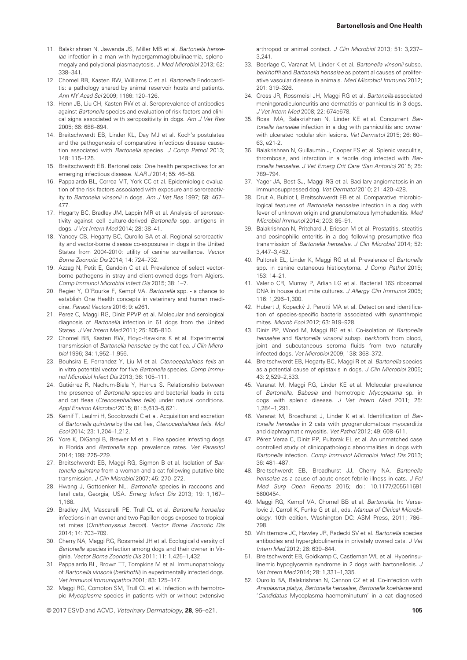- 11. Balakrishnan N, Jawanda JS, Miller MB et al. Bartonella henselae infection in a man with hypergammaglobulinaemia, splenomegaly and polyclonal plasmacytosis. J Med Microbiol 2013; 62: 338–341.
- 12. Chomel BB, Kasten RW, Williams C et al. Bartonella Endocarditis: a pathology shared by animal reservoir hosts and patients. Ann NY Acad Sci 2009; 1166: 120–126.
- 13. Henn JB, Liu CH, Kasten RW et al. Seroprevalence of antibodies against Bartonella species and evaluation of risk factors and clinical signs associated with seropositivity in dogs. Am J Vet Res 2005; 66: 688–694.
- 14. Breitschwerdt EB, Linder KL, Day MJ et al. Koch's postulates and the pathogenesis of comparative infectious disease causation associated with Bartonella species. J Comp Pathol 2013; 148: 115–125.
- 15. Breitschwerdt EB. Bartonellosis: One health perspectives for an emerging infectious disease. ILAR J 2014; 55: 46–58.
- 16. Pappalardo BL, Correa MT, York CC et al. Epidemiologic evaluation of the risk factors associated with exposure and seroreactivity to Bartonella vinsonii in dogs. Am J Vet Res 1997; 58: 467– 477.
- 17. Hegarty BC, Bradley JM, Lappin MR et al. Analysis of seroreactivity against cell culture-derived Bartonella spp. antigens in dogs. J Vet Intern Med 2014; 28: 38–41.
- 18. Yancey CB, Hegarty BC, Qurollo BA et al. Regional seroreactivity and vector-borne disease co-exposures in dogs in the United States from 2004-2010: utility of canine surveillance. Vector Borne Zoonotic Dis 2014; 14: 724–732.
- 19. Azzag N, Petit E, Gandoin C et al. Prevalence of select vectorborne pathogens in stray and client-owned dogs from Algiers. Comp Immunol Microbiol Infect Dis 2015; 38: 1–7.
- 20. Regier Y, O'Rourke F, Kempf VA. Bartonella spp. a chance to establish One Health concepts in veterinary and human medicine. Parasit Vectors 2016; 9: e261.
- 21. Perez C, Maggi RG, Diniz PPVP et al. Molecular and serological diagnosis of Bartonella infection in 61 dogs from the United States. J Vet Intern Med 2011; 25: 805–810.
- 22. Chomel BB, Kasten RW, Floyd-Hawkins K et al. Experimental transmission of Bartonella henselae by the cat flea. J Clin Microbiol 1996; 34: 1,952–1,956.
- 23. Bouhsira E, Ferrandez Y, Liu M et al. Ctenocephalides felis an in vitro potential vector for five Bartonella species. Comp Immunol Microbiol Infect Dis 2013; 36: 105–111.
- 24. Gutiérrez R, Nachum-Biala Y, Harrus S. Relationship between the presence of Bartonella species and bacterial loads in cats and cat fleas (Ctenocephalides felis) under natural conditions. Appl Environ Microbiol 2015; 81: 5,613–5,621.
- 25. Kernif T, Leulmi H, Socolovschi C et al. Acquisition and excretion of Bartonella quintana by the cat flea, Ctenocephalides felis. Mol Ecol 2014; 23: 1,204–1,212.
- 26. Yore K, DiGangi B, Brewer M et al. Flea species infesting dogs in Florida and Bartonella spp. prevalence rates. Vet Parasitol 2014; 199: 225–229.
- 27. Breitschwerdt EB, Maggi RG, Sigmon B et al. Isolation of Bartonella quintana from a woman and a cat following putative bite transmission. J Clin Microbiol 2007; 45: 270–272.
- 28. Hwang J, Gottdenker NL. Bartonella species in raccoons and feral cats, Georgia, USA. Emerg Infect Dis 2013; 19: 1,167– 1,168.
- 29. Bradley JM, Mascarelli PE, Trull CL et al. Bartonella henselae infections in an owner and two Papillon dogs exposed to tropical rat mites (Ornithonyssus bacoti). Vector Borne Zoonotic Dis 2014; 14: 703–709.
- 30. Cherry NA, Maggi RG, Rossmeisl JH et al. Ecological diversity of Bartonella species infection among dogs and their owner in Virginia. Vector Borne Zoonotic Dis 2011; 11: 1,425–1,432.
- 31. Pappalardo BL, Brown TT, Tompkins M et al. Immunopathology of Bartonella vinsonii (berkhoffii) in experimentally infected dogs. Vet Immunol Immunopathol 2001; 83: 125–147.
- 32. Maggi RG, Compton SM, Trull CL et al. Infection with hemotropic Mycoplasma species in patients with or without extensive

© 2017 ESVD and ACVD, Veterinary Dermatology, 28, 96–e21. 105

arthropod or animal contact. J Clin Microbiol 2013; 51: 3,237-3,241.

- 33. Beerlage C, Varanat M, Linder K et al. Bartonella vinsonii subsp. berkhoffii and Bartonella henselae as potential causes of proliferative vascular disease in animals. Med Microbiol Immunol 2012; 201: 319–326.
- 34. Cross JR, Rossmeisl JH, Maggi RG et al. Bartonella-associated meningoradiculoneuritis and dermatitis or panniculitis in 3 dogs. J Vet Intern Med 2008; 22: 674e678.
- 35. Rossi MA, Balakrishnan N, Linder KE et al. Concurrent Bartonella henselae infection in a dog with panniculitis and owner with ulcerated nodular skin lesions. Vet Dermatol 2015; 26: 60– 63, e21-2.
- 36. Balakrishnan N, Guillaumin J, Cooper ES et al. Splenic vasculitis, thrombosis, and infarction in a febrile dog infected with Bartonella henselae. J Vet Emerg Crit Care (San Antonio) 2015; 25: 789–794.
- 37. Yager JA, Best SJ, Maggi RG et al. Bacillary angiomatosis in an immunosuppressed dog. Vet Dermatol 2010; 21: 420–428.
- 38. Drut A, Bublot I, Breitschwerdt EB et al. Comparative microbiological features of Bartonella henselae infection in a dog with fever of unknown origin and granulomatous lymphadenitis. Med Microbiol Immunol 2014; 203: 85–91.
- 39. Balakrishnan N, Pritchard J, Ericson M et al. Prostatitis, steatitis and eosinophilic enteritis in a dog following presumptive flea transmission of Bartonella henselae. J Clin Microbiol 2014; 52: 3,447–3,452.
- 40. Pultorak EL, Linder K, Maggi RG et al. Prevalence of Bartonella spp. in canine cutaneous histiocytoma. J Comp Pathol 2015; 153: 14–21.
- 41. Valerio CR, Murray P, Arlian LG et al. Bacterial 16S ribosomal DNA in house dust mite cultures. J Allergy Clin Immunol 2005; 116: 1,296–1,300.
- 42. Hubert J, Kopecký J, Perotti MA et al. Detection and identification of species-specific bacteria associated with synanthropic mites. Microb Ecol 2012; 63: 919–928.
- 43. Diniz PP, Wood M, Maggi RG et al. Co-isolation of Bartonella henselae and Bartonella vinsonii subsp. berkhoffii from blood, joint and subcutaneous seroma fluids from two naturally infected dogs. Vet Microbiol 2009; 138: 368–372.
- 44. Breitschwerdt EB, Hegarty BC, Maggi R et al. Bartonella species as a potential cause of epistaxis in dogs. J Clin Microbiol 2005;  $43:2,529-2,533$
- 45. Varanat M, Maggi RG, Linder KE et al. Molecular prevalence of Bartonella, Babesia and hemotropic Mycoplasma sp. in dogs with splenic disease. J Vet Intern Med 2011; 25: 1,284–1,291.
- 46. Varanat M, Broadhurst J, Linder K et al. Identification of Bartonella henselae in 2 cats with pyogranulomatous myocarditis and diaphragmatic myositis. Vet Pathol 2012; 49: 608–611.
- 47. Pérez Veraa C, Diniz PP, Pultorak EL et al. An unmatched case controlled study of clinicopathologic abnormalities in dogs with Bartonella infection. Comp Immunol Microbiol Infect Dis 2013; 36: 481–487.
- 48. Breitschwerdt EB, Broadhurst JJ, Cherry NA. Bartonella henselae as a cause of acute-onset febrile illness in cats. J Fel Med Surg Open Reports 2015; doi: 10.1177/205511691 5600454.
- 49. Maggi RG, Kempf VA, Chomel BB et al. Bartonella. In: Versalovic J, Carroll K, Funke G et al., eds. Manual of Clinical Microbiology. 10th edition. Washington DC: ASM Press, 2011; 786– 798.
- 50. Whittemore JC, Hawley JR, Radecki SV et al. Bartonella species antibodies and hyperglobulinemia in privately owned cats. J Vet Intern Med 2012; 26: 639–644.
- 51. Breitschwerdt EB, Goldkamp C, Castleman WL et al. Hyperinsulinemic hypoglycemia syndrome in 2 dogs with bartonellosis. J Vet Intern Med 2014; 28: 1,331–1,335.
- 52. Qurollo BA, Balakrishnan N, Cannon CZ et al. Co-infection with Anaplasma platys, Bartonella henselae, Bartonella koehlerae and 'Candidatus Mycoplasma haemominutum' in a cat diagnosed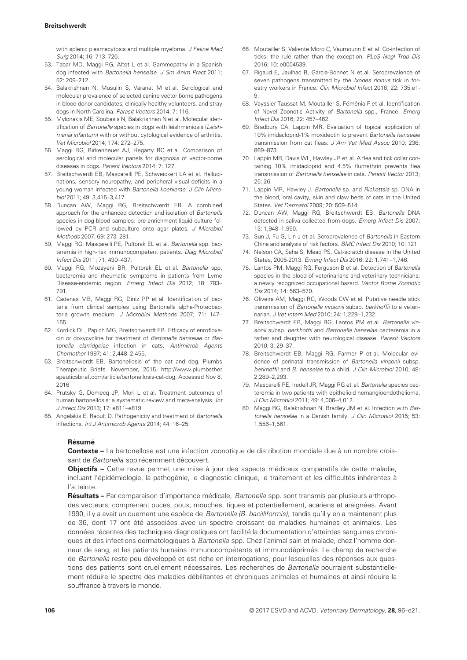with splenic plasmacytosis and multiple myeloma. J Feline Med Surg 2014; 16: 713–720.

- 53. Tabar MD, Maggi RG, Altet L et al. Gammopathy in a Spanish dog infected with Bartonella henselae. J Sm Anim Pract 2011; 52: 209–212.
- 54. Balakrishnan N, Musulin S, Varanat M et al. Serological and molecular prevalence of selected canine vector borne pathogens in blood donor candidates, clinically healthy volunteers, and stray dogs in North Carolina. Parasit Vectors 2014; 7: 116.
- 55. Mylonakis ME, Soubasis N, Balakrishnan N et al. Molecular identification of Bartonella species in dogs with leishmaniosis (Leishmania infantum) with or without cytological evidence of arthritis. Vet Microbiol 2014; 174: 272–275.
- 56. Maggi RG, Birkenheuer AJ, Hegarty BC et al. Comparison of serological and molecular panels for diagnosis of vector-borne diseases in dogs. Parasit Vectors 2014; 7: 127.
- 57. Breitschwerdt EB, Mascarelli PE, Schweickert LA et al. Hallucinations, sensory neuropathy, and peripheral visual deficits in a young woman infected with Bartonella koehlerae. J Clin Microbiol 2011; 49: 3,415–3,417.
- 58. Duncan AW, Maggi RG, Breitschwerdt EB. A combined approach for the enhanced detection and isolation of Bartonella species in dog blood samples: pre-enrichment liquid culture followed by PCR and subculture onto agar plates. J Microbiol Methods 2007; 69: 273–281.
- 59. Maggi RG, Mascarelli PE, Pultorak EL et al. Bartonella spp. bacteremia in high-risk immunocompetent patients. Diag Microbiol Infect Dis 2011; 71: 430–437.
- 60. Maggi RG, Mozayeni BR, Pultorak EL et al. Bartonella spp. bacteremia and rheumatic symptoms in patients from Lyme Disease-endemic region. Emerg Infect Dis 2012; 18: 783– 791.
- 61. Cadenas MB, Maggi RG, Diniz PP et al. Identification of bacteria from clinical samples using Bartonella alpha-Proteobacteria growth medium. J Microbiol Methods 2007; 71: 147– 155.
- 62. Kordick DL, Papich MG, Breitschwerdt EB. Efficacy of enrofloxacin or doxycycline for treatment of Bartonella henselae or Bartonella clarridgeiae infection in cats. Antimicrob Agents Chemother 1997; 41: 2,448–2,455.
- 63. Breitschwerdt EB. Bartonellosis of the cat and dog. Plumbs Therapeutic Briefs. November, 2015. http://www.plumbsther apeuticsbrief.com/article/bartonellosis-cat-dog. Accessed Nov 8, 2016
- 64. Prutsky G, Domecq JP, Mori L et al. Treatment outcomes of human bartonellosis: a systematic review and meta-analysis. Int J Infect Dis 2013; 17: e811–e819.
- 65. Angelakis E, Raoult D. Pathogenicity and treatment of Bartonella infections. Int J Antimicrob Agents 2014; 44: 16–25.
- 66. Moutailler S, Valiente Moro C, Vaumourin E et al. Co-infection of ticks: the rule rather than the exception. PLoS Negl Trop Dis 2016; 10: e0004539.
- 67. Rigaud E, Jaulhac B, Garcia-Bonnet N et al. Seroprevalence of seven pathogens transmitted by the *Ixodes ricinus* tick in forestry workers in France. Clin Microbiol Infect 2016; 22: 735.e1- 9.
- 68. Vayssier-Taussat M, Moutailler S, Féménia F et al. Identification of Novel Zoonotic Activity of Bartonella spp., France. Emerg Infect Dis 2016; 22: 457–462.
- 69. Bradbury CA, Lappin MR. Evaluation of topical application of 10% imidacloprid-1% moxidectin to prevent Bartonella henselae transmission from cat fleas. J Am Vet Med Assoc 2010; 236: 869–873.
- 70. Lappin MR, Davis WL, Hawley JR et al. A flea and tick collar containing 10% imidacloprid and 4.5% flumethrin prevents flea transmission of Bartonella henselae in cats. Parasit Vector 2013; 25: 26.
- 71. Lappin MR, Hawley J. Bartonella sp. and Rickettsia sp. DNA in the blood, oral cavity, skin and claw beds of cats in the United States. Vet Dermatol 2009; 20: 509–514.
- 72. Duncan AW, Maggi RG, Breitschwerdt EB. Bartonella DNA detected in saliva collected from dogs. Emerg Infect Dis 2007: 13: 1,948–1,950.
- 73. Sun J, Fu G, Lin J et al. Seroprevalence of Bartonella in Eastern China and analysis of risk factors. BMC Infect Dis 2010; 10: 121.
- 74. Nelson CA, Saha S, Mead PS. Cat-scratch disease in the United States, 2005-2013. Emerg Infect Dis 2016; 22: 1,741–1,746.
- 75. Lantos PM, Maggi RG, Ferguson B et al. Detection of Bartonella species in the blood of veterinarians and veterinary technicians: a newly recognized occupational hazard. Vector Borne Zoonotic Dis 2014; 14: 563–570.
- 76. Oliveira AM, Maggi RG, Woods CW et al. Putative needle stick transmission of Bartonella vinsonii subsp. berkhoffii to a veterinarian. J Vet Intern Med 2010; 24: 1,229–1,232.
- 77. Breitschwerdt EB, Maggi RG, Lantos PM et al. Bartonella vinsonii subsp. berkhoffii and Bartonella henselae bacteremia in a father and daughter with neurological disease. Parasit Vectors 2010; 3: 29–37.
- 78. Breitschwerdt EB, Maggi RG, Farmer P et al. Molecular evidence of perinatal transmission of Bartonella vinsonii subsp. berkhoffii and B. henselae to a child. J Clin Microbiol 2010; 48: 2,289–2,293.
- 79. Mascarelli PE, Iredell JR, Maggi RG et al. Bartonella species bacteremia in two patients with epithelioid hemangioendothelioma. J Clin Microbiol 2011; 49: 4,006–4,012.
- 80. Maggi RG, Balakrishnan N, Bradley JM et al. Infection with Bartonella henselae in a Danish family. J Clin Microbiol 2015; 53: 1,556–1,561.

## Résumé

**Contexte –** La bartonellose est une infection zoonotique de distribution mondiale due à un nombre croissant de Bartonella spp récemment découvert.

**Objectifs –** Cette revue permet une mise à jour des aspects médicaux comparatifs de cette maladie, incluant l'épidémiologie, la pathogénie, le diagnostic clinique, le traitement et les difficultés inhérentes à l'atteinte.

Résultats – Par comparaison d'importance médicale, Bartonella spp. sont transmis par plusieurs arthropodes vecteurs, comprenant puces, poux, mouches, tiques et potentiellement, acariens et araignées. Avant 1990, il y a avait uniquement une espèce de Bartonella (B. bacilliformis), tandis qu'il y en a maintenant plus de 36, dont 17 ont été associées avec un spectre croissant de maladies humaines et animales. Les données récentes des techniques diagnostiques ont facilité la documentation d'atteintes sanguines chroniques et des infections dermatologiques à Bartonella spp. Chez l'animal sain et malade, chez l'homme donneur de sang, et les patients humains immunocompétents et immunodéprimés. Le champ de recherche de Bartonella reste peu développé et est riche en interrogations, pour lesquelles des réponses aux questions des patients sont cruellement nécessaires. Les recherches de Bartonella pourraient substantiellement réduire le spectre des maladies débilitantes et chroniques animales et humaines et ainsi réduire la souffrance à travers le monde.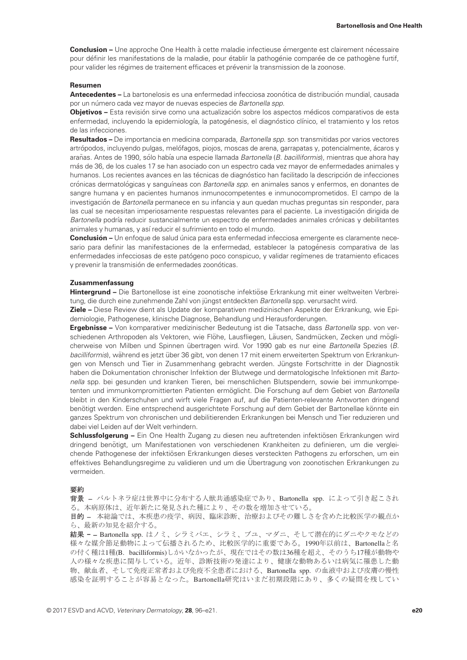Conclusion – Une approche One Health à cette maladie infectieuse émergente est clairement nécessaire pour définir les manifestations de la maladie, pour établir la pathogénie comparée de ce pathogène furtif, pour valider les régimes de traitement efficaces et prévenir la transmission de la zoonose.

### Resumen

Antecedentes – La bartonelosis es una enfermedad infecciosa zoonótica de distribución mundial, causada por un número cada vez mayor de nuevas especies de Bartonella spp.

Objetivos – Esta revisión sirve como una actualización sobre los aspectos médicos comparativos de esta enfermedad, incluyendo la epidemiología, la patogénesis, el diagnóstico clínico, el tratamiento y los retos de las infecciones.

Resultados – De importancia en medicina comparada, Bartonella spp. son transmitidas por varios vectores artrópodos, incluyendo pulgas, melófagos, piojos, moscas de arena, garrapatas y, potencialmente, ácaros y arañas. Antes de 1990, sólo había una especie llamada Bartonella (B. bacilliformis), mientras que ahora hay más de 36, de los cuales 17 se han asociado con un espectro cada vez mayor de enfermedades animales y humanos. Los recientes avances en las técnicas de diagnóstico han facilitado la descripción de infecciones crónicas dermatológicas y sanguíneas con Bartonella spp. en animales sanos y enfermos, en donantes de sangre humana y en pacientes humanos inmunocompetentes e inmunocomprometidos. El campo de la investigación de Bartonella permanece en su infancia y aun quedan muchas preguntas sin responder, para las cual se necesitan imperiosamente respuestas relevantes para el paciente. La investigación dirigida de Bartonella podría reducir sustancialmente un espectro de enfermedades animales crónicas y debilitantes animales y humanas, y así reducir el sufrimiento en todo el mundo.

**Conclusión –** Un enfoque de salud única para esta enfermedad infecciosa emergente es claramente necesario para definir las manifestaciones de la enfermedad, establecer la patogénesis comparativa de las enfermedades infecciosas de este patógeno poco conspicuo, y validar regímenes de tratamiento eficaces y prevenir la transmisión de enfermedades zoonóticas.

#### Zusammenfassung

Hintergrund – Die Bartonellose ist eine zoonotische infektiöse Erkrankung mit einer weltweiten Verbreitung, die durch eine zunehmende Zahl von jüngst entdeckten Bartonella spp. verursacht wird.

Ziele – Diese Review dient als Update der komparativen medizinischen Aspekte der Erkrankung, wie Epidemiologie, Pathogenese, klinische Diagnose, Behandlung und Herausforderungen.

**Ergebnisse –** Von komparativer medizinischer Bedeutung ist die Tatsache, dass Bartonella spp. von verschiedenen Arthropoden als Vektoren, wie Flöhe, Lausfliegen, Läusen, Sandmücken, Zecken und möglicherweise von Milben und Spinnen übertragen wird. Vor 1990 gab es nur eine Bartonella Spezies (B. bacilliformis), während es jetzt über 36 gibt, von denen 17 mit einem erweiterten Spektrum von Erkrankungen von Mensch und Tier in Zusammenhang gebracht werden. Jüngste Fortschritte in der Diagnostik haben die Dokumentation chronischer Infektion der Blutwege und dermatologische Infektionen mit Bartonella spp. bei gesunden und kranken Tieren, bei menschlichen Blutspendern, sowie bei immunkompetenten und immunkompromittierten Patienten ermöglicht. Die Forschung auf dem Gebiet von Bartonella bleibt in den Kinderschuhen und wirft viele Fragen auf, auf die Patienten-relevante Antworten dringend benötigt werden. Eine entsprechend ausgerichtete Forschung auf dem Gebiet der Bartonellae könnte ein ganzes Spektrum von chronischen und debilitierenden Erkrankungen bei Mensch und Tier reduzieren und dabei viel Leiden auf der Welt verhindern.

Schlussfolgerung – Ein One Health Zugang zu diesen neu auftretenden infektiösen Erkrankungen wird dringend benötigt, um Manifestationen von verschiedenen Krankheiten zu definieren, um die vergleichende Pathogenese der infektiösen Erkrankungen dieses versteckten Pathogens zu erforschen, um ein effektives Behandlungsregime zu validieren und um die Übertragung von zoonotischen Erkrankungen zu vermeiden.

#### 要約

背景 – バルトネラ症は世界中に分布する人獣共通感染症であり、Bartonella spp. によって引き起こされ る。本病原体は、近年新たに発見された種により、その数を増加させている。

目的 – 本総論では、本疾患の疫学、病因、臨床診断、治療およびその難しさを含めた比較医学の観点か ら、最新の知見を紹介する。

結果 – – Bartonella spp. はノミ、シラミバエ、シラミ、ブユ、マダニ、そして潜在的にダニやクモなどの 様々な媒介節足動物によって伝播されるため、比較医学的に重要である。1990年以前は、Bartonellaと名 の付く種は1種(B. bacilliformis)しかいなかったが、現在ではその数は36種を超え、そのうち17種が動物や 人の様々な疾患に関与している。近年、診断技術の発達により、健康な動物あるいは病気に罹患した動 物、献血者、そして免疫正常者および免疫不全患者における、Bartonella spp. の血液中および皮膚の慢性 感染を証明することが容易となった。Bartonella研究はいまだ初期段階にあり、多くの疑問を残してい